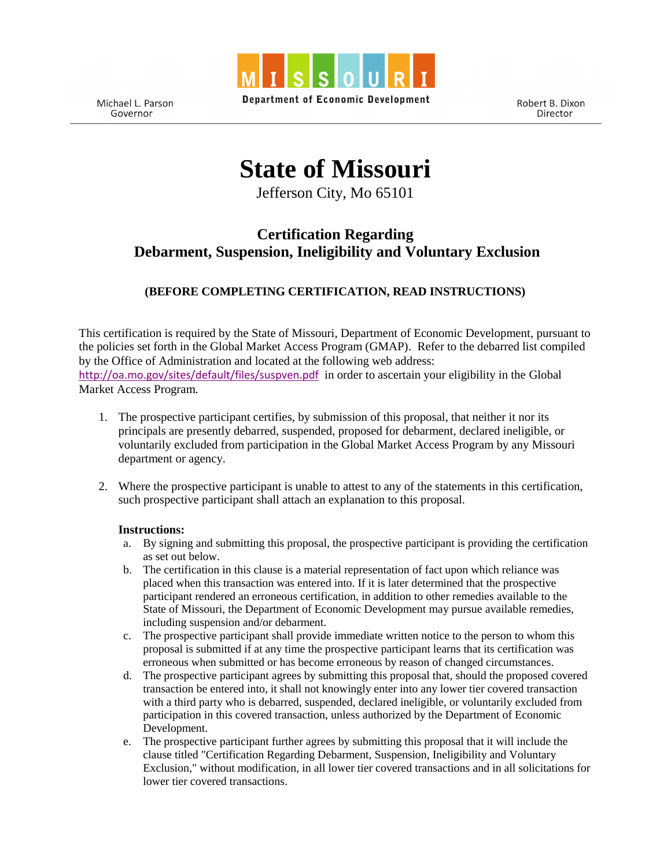

**Department of Economic Development** 

Michael L. Parson Governor

Robert B. Dixon Director

**State of Missouri** 

Jefferson City, Mo 65101

## **Certification Regarding Debarment, Suspension, Ineligibility and Voluntary Exclusion**

## **(BEFORE COMPLETING CERTIFICATION, READ INSTRUCTIONS)**

This certification is required by the State of Missouri, Department of Economic Development, pursuant to the policies set forth in the Global Market Access Program (GMAP). Refer to the debarred list compiled by the Office of Administration and located at the following web address: <http://oa.mo.gov/sites/default/files/suspven.pdf> in order to ascertain your eligibility in the Global Market Access Program.

- 1. The prospective participant certifies, by submission of this proposal, that neither it nor its principals are presently debarred, suspended, proposed for debarment, declared ineligible, or voluntarily excluded from participation in the Global Market Access Program by any Missouri department or agency.
- 2. Where the prospective participant is unable to attest to any of the statements in this certification, such prospective participant shall attach an explanation to this proposal.

## **Instructions:**

- a. By signing and submitting this proposal, the prospective participant is providing the certification as set out below.
- b. The certification in this clause is a material representation of fact upon which reliance was placed when this transaction was entered into. If it is later determined that the prospective participant rendered an erroneous certification, in addition to other remedies available to the State of Missouri, the Department of Economic Development may pursue available remedies, including suspension and/or debarment.
- c. The prospective participant shall provide immediate written notice to the person to whom this proposal is submitted if at any time the prospective participant learns that its certification was erroneous when submitted or has become erroneous by reason of changed circumstances.
- d. The prospective participant agrees by submitting this proposal that, should the proposed covered transaction be entered into, it shall not knowingly enter into any lower tier covered transaction with a third party who is debarred, suspended, declared ineligible, or voluntarily excluded from participation in this covered transaction, unless authorized by the Department of Economic Development.
- e. The prospective participant further agrees by submitting this proposal that it will include the clause titled "Certification Regarding Debarment, Suspension, Ineligibility and Voluntary Exclusion," without modification, in all lower tier covered transactions and in all solicitations for lower tier covered transactions.